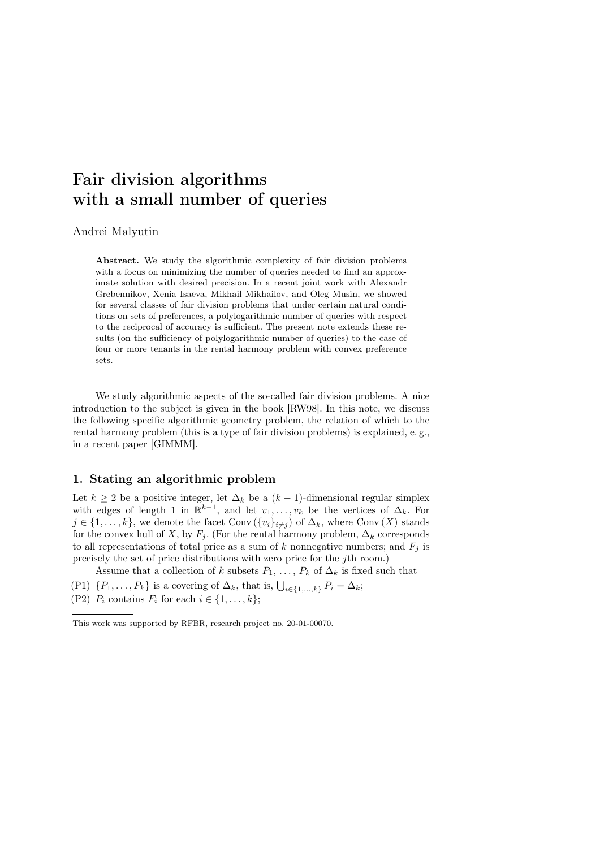# Fair division algorithms with a small number of queries

## Andrei Malyutin

Abstract. We study the algorithmic complexity of fair division problems with a focus on minimizing the number of queries needed to find an approximate solution with desired precision. In a recent joint work with Alexandr Grebennikov, Xenia Isaeva, Mikhail Mikhailov, and Oleg Musin, we showed for several classes of fair division problems that under certain natural conditions on sets of preferences, a polylogarithmic number of queries with respect to the reciprocal of accuracy is sufficient. The present note extends these results (on the sufficiency of polylogarithmic number of queries) to the case of four or more tenants in the rental harmony problem with convex preference sets.

We study algorithmic aspects of the so-called fair division problems. A nice introduction to the subject is given in the book [RW98]. In this note, we discuss the following specific algorithmic geometry problem, the relation of which to the rental harmony problem (this is a type of fair division problems) is explained, e. g., in a recent paper [GIMMM].

# 1. Stating an algorithmic problem

Let  $k \geq 2$  be a positive integer, let  $\Delta_k$  be a  $(k-1)$ -dimensional regular simplex with edges of length 1 in  $\mathbb{R}^{k-1}$ , and let  $v_1, \ldots, v_k$  be the vertices of  $\Delta_k$ . For  $j \in \{1, \ldots, k\}$ , we denote the facet Conv  $(\{v_i\}_{i\neq j})$  of  $\Delta_k$ , where Conv  $(X)$  stands for the convex hull of X, by  $F_i$ . (For the rental harmony problem,  $\Delta_k$  corresponds to all representations of total price as a sum of k nonnegative numbers; and  $F_j$  is precisely the set of price distributions with zero price for the jth room.)

Assume that a collection of k subsets  $P_1, \ldots, P_k$  of  $\Delta_k$  is fixed such that

(P1)  $\{P_1, \ldots, P_k\}$  is a covering of  $\Delta_k$ , that is,  $\bigcup_{i \in \{1, \ldots, k\}} P_i = \Delta_k$ ;

(P2)  $P_i$  contains  $F_i$  for each  $i \in \{1, \ldots, k\};$ 

This work was supported by RFBR, research project no. 20-01-00070.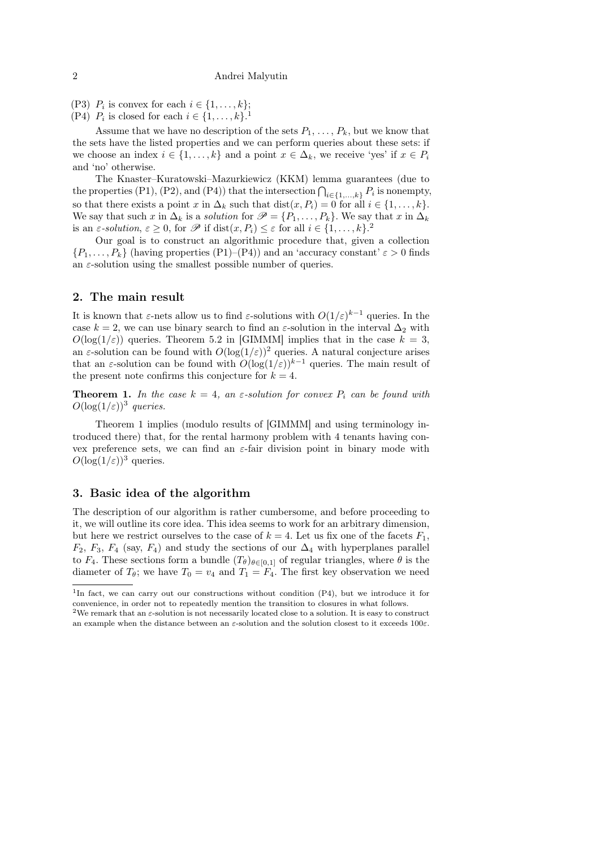(P3)  $P_i$  is convex for each  $i \in \{1, \ldots, k\};$ 

(P4)  $P_i$  is closed for each  $i \in \{1, \ldots, k\}$ .<sup>1</sup>

Assume that we have no description of the sets  $P_1, \ldots, P_k$ , but we know that the sets have the listed properties and we can perform queries about these sets: if we choose an index  $i \in \{1, \ldots, k\}$  and a point  $x \in \Delta_k$ , we receive 'yes' if  $x \in P_i$ and 'no' otherwise.

The Knaster–Kuratowski–Mazurkiewicz (KKM) lemma guarantees (due to the properties (P1), (P2), and (P4)) that the intersection  $\bigcap_{i\in\{1,\ldots,k\}} P_i$  is nonempty, so that there exists a point x in  $\Delta_k$  such that  $dist(x, P_i) = 0$  for all  $i \in \{1, ..., k\}$ . We say that such x in  $\Delta_k$  is a *solution* for  $\mathscr{P} = \{P_1, \ldots, P_k\}$ . We say that x in  $\Delta_k$ is an  $\varepsilon$ -solution,  $\varepsilon \geq 0$ , for  $\mathscr P$  if  $dist(x, P_i) \leq \varepsilon$  for all  $i \in \{1, \ldots, k\}$ .

Our goal is to construct an algorithmic procedure that, given a collection  $\{P_1,\ldots,P_k\}$  (having properties  $(P_1)-(P_4)$ ) and an 'accuracy constant'  $\varepsilon > 0$  finds an  $\varepsilon$ -solution using the smallest possible number of queries.

## 2. The main result

It is known that  $\varepsilon$ -nets allow us to find  $\varepsilon$ -solutions with  $O(1/\varepsilon)^{k-1}$  queries. In the case k = 2, we can use binary search to find an  $\varepsilon$ -solution in the interval  $\Delta_2$  with  $O(\log(1/\varepsilon))$  queries. Theorem 5.2 in [GIMMM] implies that in the case  $k = 3$ , an  $\varepsilon$ -solution can be found with  $O(\log(1/\varepsilon))^2$  queries. A natural conjecture arises that an  $\varepsilon$ -solution can be found with  $O(\log(1/\varepsilon))^{k-1}$  queries. The main result of the present note confirms this conjecture for  $k = 4$ .

**Theorem 1.** In the case  $k = 4$ , an  $\varepsilon$ -solution for convex  $P_i$  can be found with  $O(\log(1/\varepsilon))^3$  queries.

Theorem 1 implies (modulo results of [GIMMM] and using terminology introduced there) that, for the rental harmony problem with 4 tenants having convex preference sets, we can find an  $\varepsilon$ -fair division point in binary mode with  $O(\log(1/\varepsilon))^3$  queries.

# 3. Basic idea of the algorithm

The description of our algorithm is rather cumbersome, and before proceeding to it, we will outline its core idea. This idea seems to work for an arbitrary dimension, but here we restrict ourselves to the case of  $k = 4$ . Let us fix one of the facets  $F_1$ ,  $F_2$ ,  $F_3$ ,  $F_4$  (say,  $F_4$ ) and study the sections of our  $\Delta_4$  with hyperplanes parallel to  $F_4$ . These sections form a bundle  $(T_{\theta})_{\theta \in [0,1]}$  of regular triangles, where  $\theta$  is the diameter of  $T_{\theta}$ ; we have  $T_0 = v_4$  and  $T_1 = F_4$ . The first key observation we need

<sup>&</sup>lt;sup>1</sup>In fact, we can carry out our constructions without condition (P4), but we introduce it for convenience, in order not to repeatedly mention the transition to closures in what follows.

<sup>&</sup>lt;sup>2</sup>We remark that an  $\varepsilon$ -solution is not necessarily located close to a solution. It is easy to construct an example when the distance between an  $\varepsilon$ -solution and the solution closest to it exceeds 100 $\varepsilon$ .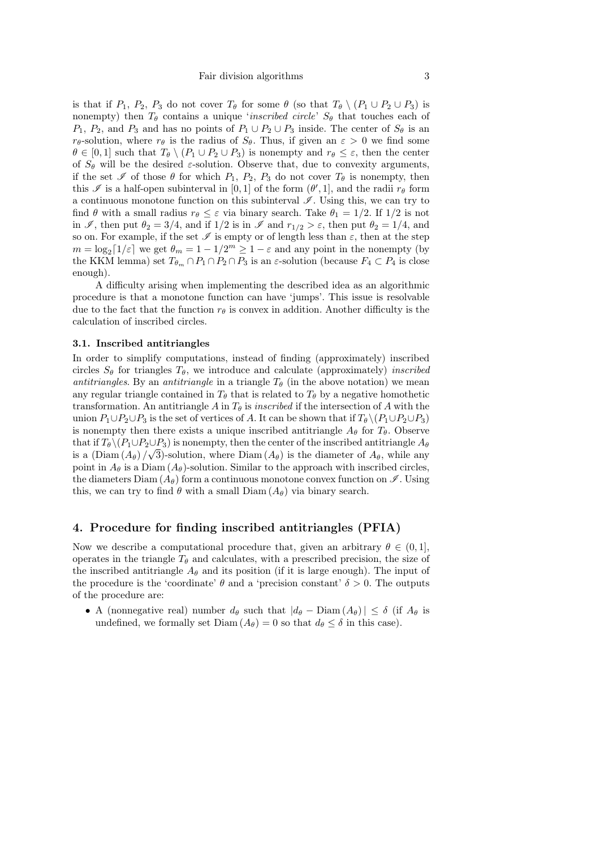is that if  $P_1$ ,  $P_2$ ,  $P_3$  do not cover  $T_\theta$  for some  $\theta$  (so that  $T_\theta \setminus (P_1 \cup P_2 \cup P_3)$  is nonempty) then  $T_{\theta}$  contains a unique '*inscribed circle'*  $S_{\theta}$  that touches each of  $P_1, P_2$ , and  $P_3$  and has no points of  $P_1 \cup P_2 \cup P_3$  inside. The center of  $S_\theta$  is an  $r_{\theta}$ -solution, where  $r_{\theta}$  is the radius of  $S_{\theta}$ . Thus, if given an  $\varepsilon > 0$  we find some  $\theta \in [0,1]$  such that  $T_{\theta} \setminus (P_1 \cup P_2 \cup P_3)$  is nonempty and  $r_{\theta} \leq \varepsilon$ , then the center of  $S_{\theta}$  will be the desired  $\varepsilon$ -solution. Observe that, due to convexity arguments, if the set  $\mathscr I$  of those  $\theta$  for which  $P_1, P_2, P_3$  do not cover  $T_\theta$  is nonempty, then this  $\mathscr I$  is a half-open subinterval in [0, 1] of the form  $(\theta', 1]$ , and the radii  $r_\theta$  form a continuous monotone function on this subinterval  $\mathscr I$ . Using this, we can try to find  $\theta$  with a small radius  $r_{\theta} \leq \varepsilon$  via binary search. Take  $\theta_1 = 1/2$ . If  $1/2$  is not in  $\mathscr{I}$ , then put  $\theta_2 = 3/4$ , and if  $1/2$  is in  $\mathscr{I}$  and  $r_{1/2} > \varepsilon$ , then put  $\theta_2 = 1/4$ , and so on. For example, if the set  $\mathscr I$  is empty or of length less than  $\varepsilon$ , then at the step  $m = \log_2[1/\varepsilon]$  we get  $\theta_m = 1 - 1/2^m \ge 1 - \varepsilon$  and any point in the nonempty (by the KKM lemma) set  $T_{\theta_m} \cap P_1 \cap P_2 \cap P_3$  is an  $\varepsilon$ -solution (because  $F_4 \subset P_4$  is close enough).

A difficulty arising when implementing the described idea as an algorithmic procedure is that a monotone function can have 'jumps'. This issue is resolvable due to the fact that the function  $r_{\theta}$  is convex in addition. Another difficulty is the calculation of inscribed circles.

#### 3.1. Inscribed antitriangles

In order to simplify computations, instead of finding (approximately) inscribed circles  $S_{\theta}$  for triangles  $T_{\theta}$ , we introduce and calculate (approximately) *inscribed* antitriangles. By an antitriangle in a triangle  $T_{\theta}$  (in the above notation) we mean any regular triangle contained in  $T_{\theta}$  that is related to  $T_{\theta}$  by a negative homothetic transformation. An antitriangle A in  $T_{\theta}$  is *inscribed* if the intersection of A with the union  $P_1 \cup P_2 \cup P_3$  is the set of vertices of A. It can be shown that if  $T_{\theta} \setminus (P_1 \cup P_2 \cup P_3)$ is nonempty then there exists a unique inscribed antitriangle  $A_{\theta}$  for  $T_{\theta}$ . Observe that if  $T_{\theta} \setminus (P_1 \cup P_2 \cup P_3)$  is nonempty, then the center of the inscribed antitriangle  $A_{\theta}$ is a  $(\text{Diam} (A_{\theta}) / \sqrt{3})$ -solution, where  $\text{Diam} (A_{\theta})$  is the diameter of  $A_{\theta}$ , while any point in  $A_{\theta}$  is a Diam  $(A_{\theta})$ -solution. Similar to the approach with inscribed circles, the diameters Diam  $(A_{\theta})$  form a continuous monotone convex function on  $\mathscr{I}$ . Using this, we can try to find  $\theta$  with a small Diam  $(A_{\theta})$  via binary search.

# 4. Procedure for finding inscribed antitriangles (PFIA)

Now we describe a computational procedure that, given an arbitrary  $\theta \in (0,1],$ operates in the triangle  $T_{\theta}$  and calculates, with a prescribed precision, the size of the inscribed antitriangle  $A_{\theta}$  and its position (if it is large enough). The input of the procedure is the 'coordinate'  $\theta$  and a 'precision constant'  $\delta > 0$ . The outputs of the procedure are:

• A (nonnegative real) number  $d_{\theta}$  such that  $|d_{\theta} - \text{Diam}(A_{\theta})| \leq \delta$  (if  $A_{\theta}$  is undefined, we formally set  $Diam(A_\theta) = 0$  so that  $d_\theta \leq \delta$  in this case).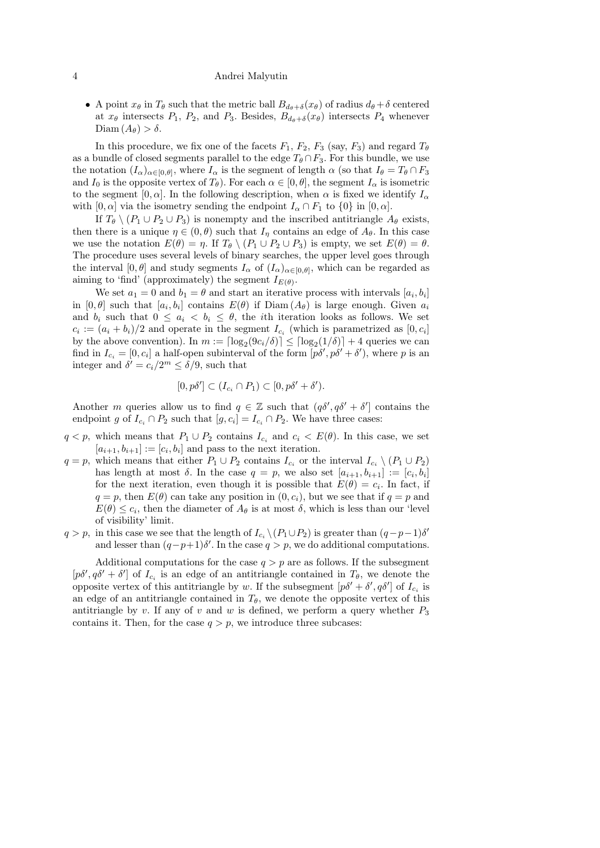#### 4 Andrei Malyutin

• A point  $x_{\theta}$  in  $T_{\theta}$  such that the metric ball  $B_{d_{\theta}+\delta}(x_{\theta})$  of radius  $d_{\theta}+\delta$  centered at  $x_{\theta}$  intersects  $P_1$ ,  $P_2$ , and  $P_3$ . Besides,  $B_{d_{\theta}+\delta}(x_{\theta})$  intersects  $P_4$  whenever Diam  $(A_{\theta}) > \delta$ .

In this procedure, we fix one of the facets  $F_1$ ,  $F_2$ ,  $F_3$  (say,  $F_3$ ) and regard  $T_{\theta}$ as a bundle of closed segments parallel to the edge  $T_{\theta} \cap F_3$ . For this bundle, we use the notation  $(I_\alpha)_{\alpha\in[0,\theta]}$ , where  $I_\alpha$  is the segment of length  $\alpha$  (so that  $I_\theta = T_\theta \cap F_3$ and  $I_0$  is the opposite vertex of  $T_\theta$ ). For each  $\alpha \in [0, \theta]$ , the segment  $I_\alpha$  is isometric to the segment [0,  $\alpha$ ]. In the following description, when  $\alpha$  is fixed we identify  $I_{\alpha}$ with  $[0, \alpha]$  via the isometry sending the endpoint  $I_{\alpha} \cap F_1$  to  $\{0\}$  in  $[0, \alpha]$ .

If  $T_{\theta} \setminus (P_1 \cup P_2 \cup P_3)$  is nonempty and the inscribed antitriangle  $A_{\theta}$  exists, then there is a unique  $\eta \in (0, \theta)$  such that  $I_{\eta}$  contains an edge of  $A_{\theta}$ . In this case we use the notation  $E(\theta) = \eta$ . If  $T_{\theta} \setminus (P_1 \cup P_2 \cup P_3)$  is empty, we set  $E(\theta) = \theta$ . The procedure uses several levels of binary searches, the upper level goes through the interval  $[0, \theta]$  and study segments  $I_\alpha$  of  $(I_\alpha)_{\alpha \in [0, \theta]}$ , which can be regarded as aiming to 'find' (approximately) the segment  $I_{E(\theta)}$ .

We set  $a_1 = 0$  and  $b_1 = \theta$  and start an iterative process with intervals  $[a_i, b_i]$ in  $[0, \theta]$  such that  $[a_i, b_i]$  contains  $E(\theta)$  if  $Diam(A_{\theta})$  is large enough. Given  $a_i$ and  $b_i$  such that  $0 \leq a_i \leq b_i \leq \theta$ , the *i*th iteration looks as follows. We set  $c_i := (a_i + b_i)/2$  and operate in the segment  $I_{c_i}$  (which is parametrized as  $[0, c_i]$ ) by the above convention). In  $m := \lfloor \log_2(9c_i/\delta) \rfloor \leq \lfloor \log_2(1/\delta) \rfloor + 4$  queries we can find in  $I_{c_i} = [0, c_i]$  a half-open subinterval of the form  $[p\delta', p\delta' + \delta')$ , where p is an integer and  $\delta' = c_i/2^m \leq \delta/9$ , such that

$$
[0, p\delta'] \subset (I_{c_i} \cap P_1) \subset [0, p\delta' + \delta').
$$

Another m queries allow us to find  $q \in \mathbb{Z}$  such that  $(q\delta', q\delta' + \delta']$  contains the endpoint g of  $I_{c_i} \cap P_2$  such that  $[g, c_i] = I_{c_i} \cap P_2$ . We have three cases:

- $q < p$ , which means that  $P_1 \cup P_2$  contains  $I_{c_i}$  and  $c_i < E(\theta)$ . In this case, we set  $[a_{i+1}, b_{i+1}] := [c_i, b_i]$  and pass to the next iteration.
- $q = p$ , which means that either  $P_1 \cup P_2$  contains  $I_{c_i}$  or the interval  $I_{c_i} \setminus (P_1 \cup P_2)$ has length at most  $\delta$ . In the case  $q = p$ , we also set  $[a_{i+1}, b_{i+1}] := [c_i, b_i]$ for the next iteration, even though it is possible that  $E(\theta) = c_i$ . In fact, if  $q = p$ , then  $E(\theta)$  can take any position in  $(0, c_i)$ , but we see that if  $q = p$  and  $E(\theta) \leq c_i$ , then the diameter of  $A_{\theta}$  is at most  $\delta$ , which is less than our 'level of visibility' limit.
- $q > p$ , in this case we see that the length of  $I_{c_i} \setminus (P_1 \cup P_2)$  is greater than  $(q-p-1)\delta'$ and lesser than  $(q-p+1)\delta'$ . In the case  $q > p$ , we do additional computations.

Additional computations for the case  $q > p$  are as follows. If the subsegment  $[p\delta', q\delta' + \delta']$  of  $I_{c_i}$  is an edge of an antitriangle contained in  $T_{\theta}$ , we denote the opposite vertex of this antitriangle by w. If the subsegment  $[p\delta' + \delta', q\delta']$  of  $I_{c_i}$  is an edge of an antitriangle contained in  $T_{\theta}$ , we denote the opposite vertex of this antitriangle by v. If any of v and w is defined, we perform a query whether  $P_3$ contains it. Then, for the case  $q > p$ , we introduce three subcases: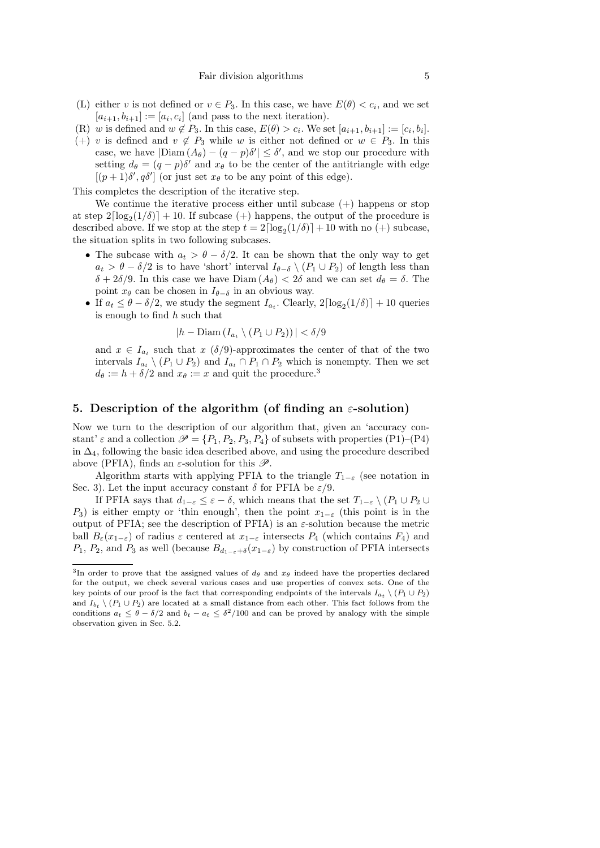- (L) either v is not defined or  $v \in P_3$ . In this case, we have  $E(\theta) < c_i$ , and we set  $[a_{i+1}, b_{i+1}] := [a_i, c_i]$  (and pass to the next iteration).
- (R) w is defined and  $w \notin P_3$ . In this case,  $E(\theta) > c_i$ . We set  $[a_{i+1}, b_{i+1}] := [c_i, b_i]$ .
- (+) v is defined and  $v \notin P_3$  while w is either not defined or  $w \in P_3$ . In this case, we have  $|\text{Diam}(A_{\theta}) - (q - p)\delta'| \leq \delta'$ , and we stop our procedure with setting  $d_{\theta} = (q - p)\delta'$  and  $x_{\theta}$  to be the center of the antitriangle with edge  $[(p+1)\delta', q\delta']$  (or just set  $x_{\theta}$  to be any point of this edge).

This completes the description of the iterative step.

We continue the iterative process either until subcase  $(+)$  happens or stop at step  $2\lceil \log_2(1/\delta) \rceil + 10$ . If subcase  $(+)$  happens, the output of the procedure is described above. If we stop at the step  $t = 2\lceil \log_2(1/\delta) \rceil + 10$  with no  $(+)$  subcase, the situation splits in two following subcases.

- The subcase with  $a_t > \theta \delta/2$ . It can be shown that the only way to get  $a_t > \theta - \delta/2$  is to have 'short' interval  $I_{\theta-\delta} \setminus (P_1 \cup P_2)$  of length less than  $\delta + 2\delta/9$ . In this case we have  $Diam(A_{\theta}) < 2\delta$  and we can set  $d_{\theta} = \delta$ . The point  $x_{\theta}$  can be chosen in  $I_{\theta-\delta}$  in an obvious way.
- If  $a_t \leq \theta \delta/2$ , we study the segment  $I_{a_t}$ . Clearly,  $2\lceil \log_2(1/\delta) \rceil + 10$  queries is enough to find h such that

$$
|h - \text{Diam}(I_{a_t} \setminus (P_1 \cup P_2))| < \delta/9
$$

and  $x \in I_{a_t}$  such that  $x \left(\frac{\delta}{9}\right)$ -approximates the center of that of the two intervals  $I_{a_t} \ (P_1 \cup P_2)$  and  $I_{a_t} \cap P_1 \cap P_2$  which is nonempty. Then we set  $d_{\theta} := h + \delta/2$  and  $x_{\theta} := x$  and quit the procedure.<sup>3</sup>

## 5. Description of the algorithm (of finding an  $\varepsilon$ -solution)

Now we turn to the description of our algorithm that, given an 'accuracy constant'  $\varepsilon$  and a collection  $\mathscr{P} = \{P_1, P_2, P_3, P_4\}$  of subsets with properties (P1)–(P4) in  $\Delta_4$ , following the basic idea described above, and using the procedure described above (PFIA), finds an  $\varepsilon$ -solution for this  $\mathscr{P}$ .

Algorithm starts with applying PFIA to the triangle  $T_{1-\varepsilon}$  (see notation in Sec. 3). Let the input accuracy constant  $\delta$  for PFIA be  $\varepsilon/9$ .

If PFIA says that  $d_{1-\varepsilon} \leq \varepsilon - \delta$ , which means that the set  $T_{1-\varepsilon} \setminus (P_1 \cup P_2 \cup$  $P_3$ ) is either empty or 'thin enough', then the point  $x_{1-\varepsilon}$  (this point is in the output of PFIA; see the description of PFIA) is an  $\varepsilon$ -solution because the metric ball  $B_{\varepsilon}(x_{1-\varepsilon})$  of radius  $\varepsilon$  centered at  $x_{1-\varepsilon}$  intersects  $P_4$  (which contains  $F_4$ ) and  $P_1, P_2$ , and  $P_3$  as well (because  $B_{d_1-\varepsilon+\delta}(x_{1-\varepsilon})$  by construction of PFIA intersects

<sup>&</sup>lt;sup>3</sup>In order to prove that the assigned values of  $d_{\theta}$  and  $x_{\theta}$  indeed have the properties declared for the output, we check several various cases and use properties of convex sets. One of the key points of our proof is the fact that corresponding endpoints of the intervals  $I_{a_t} \ (P_1 \cup P_2)$ and  $I_{b_t} \setminus (P_1 \cup P_2)$  are located at a small distance from each other. This fact follows from the conditions  $a_t \leq \theta - \delta/2$  and  $b_t - a_t \leq \delta^2/100$  and can be proved by analogy with the simple observation given in Sec. 5.2.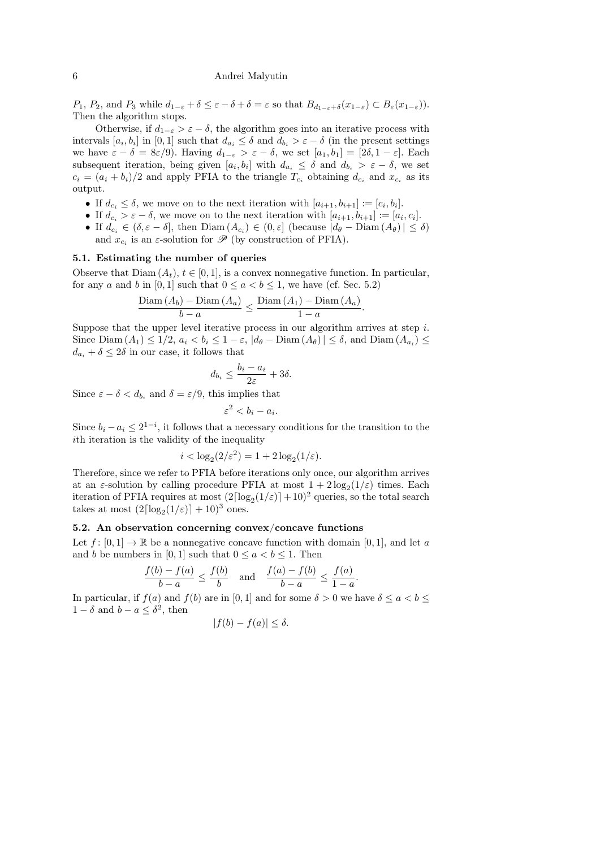#### 6 Andrei Malyutin

 $P_1, P_2$ , and  $P_3$  while  $d_{1-\varepsilon} + \delta \leq \varepsilon - \delta + \delta = \varepsilon$  so that  $B_{d_{1-\varepsilon}+\delta}(x_{1-\varepsilon}) \subset B_{\varepsilon}(x_{1-\varepsilon})$ . Then the algorithm stops.

Otherwise, if  $d_{1-\varepsilon} > \varepsilon - \delta$ , the algorithm goes into an iterative process with intervals  $[a_i, b_i]$  in  $[0, 1]$  such that  $d_{a_i} \leq \delta$  and  $d_{b_i} > \varepsilon - \delta$  (in the present settings we have  $\varepsilon - \delta = 8\varepsilon/9$ . Having  $d_{1-\varepsilon} > \varepsilon - \delta$ , we set  $[a_1, b_1] = [2\delta, 1-\varepsilon]$ . Each subsequent iteration, being given  $[a_i, b_i]$  with  $d_{a_i} \leq \delta$  and  $d_{b_i} > \varepsilon - \delta$ , we set  $c_i = (a_i + b_i)/2$  and apply PFIA to the triangle  $T_{c_i}$  obtaining  $d_{c_i}$  and  $x_{c_i}$  as its output.

- If  $d_{c_i} \leq \delta$ , we move on to the next iteration with  $[a_{i+1}, b_{i+1}] := [c_i, b_i].$
- If  $d_{c_i} > \varepsilon \delta$ , we move on to the next iteration with  $[a_{i+1}, b_{i+1}] := [a_i, c_i]$ .
- If  $d_{c_i} \in (\delta, \varepsilon \delta]$ , then  $Diam(A_{c_i}) \in (0, \varepsilon]$  (because  $|d_{\theta} Diam(A_{\theta})| \leq \delta$ ) and  $x_{c_i}$  is an  $\varepsilon$ -solution for  $\mathscr{P}$  (by construction of PFIA).

## 5.1. Estimating the number of queries

Observe that  $Diam(A_t), t \in [0,1]$ , is a convex nonnegative function. In particular, for any a and b in [0, 1] such that  $0 \le a < b \le 1$ , we have (cf. Sec. 5.2)

$$
\frac{\text{Diam}(A_b) - \text{Diam}(A_a)}{b - a} \le \frac{\text{Diam}(A_1) - \text{Diam}(A_a)}{1 - a}
$$

.

Suppose that the upper level iterative process in our algorithm arrives at step  $i$ . Since  $\text{Diam}(A_1) \leq 1/2, a_i < b_i \leq 1-\varepsilon, |d_\theta - \text{Diam}(A_\theta)| \leq \delta$ , and  $\text{Diam}(A_{a_i}) \leq \delta$  $d_{a_i} + \delta \leq 2\delta$  in our case, it follows that

$$
d_{b_i} \le \frac{b_i - a_i}{2\varepsilon} + 3\delta.
$$

Since  $\varepsilon - \delta < d_{b_i}$  and  $\delta = \varepsilon/9$ , this implies that

$$
^2 < b_i - a_i.
$$

ε

Since  $b_i - a_i \leq 2^{1-i}$ , it follows that a necessary conditions for the transition to the ith iteration is the validity of the inequality

$$
i < \log_2(2/\varepsilon^2) = 1 + 2\log_2(1/\varepsilon).
$$

Therefore, since we refer to PFIA before iterations only once, our algorithm arrives at an  $\varepsilon$ -solution by calling procedure PFIA at most  $1 + 2\log_2(1/\varepsilon)$  times. Each iteration of PFIA requires at most  $(2\lceil \log_2(1/\varepsilon)\rceil + 10)^2$  queries, so the total search takes at most  $(2\lceil \log_2(1/\varepsilon) \rceil + 10)^3$  ones.

## 5.2. An observation concerning convex/concave functions

Let  $f : [0, 1] \to \mathbb{R}$  be a nonnegative concave function with domain [0, 1], and let a and b be numbers in [0, 1] such that  $0 \le a < b \le 1$ . Then

$$
\frac{f(b) - f(a)}{b - a} \le \frac{f(b)}{b} \quad \text{and} \quad \frac{f(a) - f(b)}{b - a} \le \frac{f(a)}{1 - a}.
$$

In particular, if  $f(a)$  and  $f(b)$  are in [0, 1] and for some  $\delta > 0$  we have  $\delta \le a < b \le$  $1 - \delta$  and  $b - a \leq \delta^2$ , then

$$
|f(b) - f(a)| \le \delta.
$$